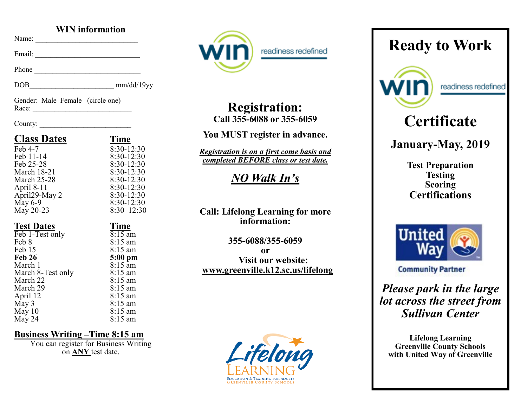### **WIN information**

Name: \_\_\_\_\_\_\_\_\_\_\_\_\_\_\_\_\_\_\_\_\_\_\_\_\_\_\_\_

Email:

Phone \_\_\_\_\_\_\_\_\_\_\_\_\_\_\_\_\_\_\_\_\_\_\_\_\_\_\_\_\_

DOB\_\_\_\_\_\_\_\_\_\_\_\_\_\_\_\_\_\_\_\_\_\_\_ mm/dd/19yy

Gender: Male Female (circle one) Race: \_\_\_\_\_\_\_\_\_\_\_\_\_\_\_\_\_\_\_\_\_\_\_\_\_\_\_

#### County: \_\_\_\_\_\_\_\_\_\_\_\_\_\_\_\_\_\_\_\_\_\_\_\_\_

| <b>Class Dates</b>         | <b>Time</b>                  |
|----------------------------|------------------------------|
| Feb 4-7                    | 8:30-12:30                   |
| Feb 11-14                  | 8:30-12:30                   |
| Feb 25-28                  | $8:30-12:30$                 |
| <b>March 18-21</b>         | 8:30-12:30                   |
| <b>March 25-28</b>         | $8:30-12:30$                 |
| April 8-11                 | $8:30-12:30$                 |
| April <sub>29</sub> -May 2 | $8:30-12:30$                 |
| May 6-9                    | $8:30-12:30$                 |
| May 20-23                  | $8:30 - 12:30$               |
|                            | <b>Time</b>                  |
| <b>Test Dates</b>          |                              |
| Feb 1-Test only            | $8:15$ am                    |
| Feb 8                      | $8:15 \text{ am}$            |
| Feb 15                     | 8:15 am                      |
| <b>Feb 26</b>              | $5:00$ pm                    |
| March 1                    | 8:15 am                      |
| March 8-Test only          | $8:15 \text{ am}$            |
| March 22                   | $8:15$ am                    |
| March 29                   | $8:15$ am                    |
| April 12                   | 8:15 am                      |
| $\overline{May}$ 3         | $8:15 \text{ am}$            |
| May 10<br>May 24           | $8:15 \text{ am}$<br>8:15 am |

### **Business Writing –Time 8:15 am**

You can register for Business Writing on **ANY** test date.



readiness redefined

# **Registration: Call 355-6088 or 355-6059**

## **You MUST register in advance.**

*Registration is on a first come basis and completed BEFORE class or test date.* 

*NO Walk In's*

### **Call: Lifelong Learning for more information:**

**355-6088/355-6059 or Visit our website: www.greenville.k12.sc.us/lifelong**



# **Ready to Work**



readiness redefined

# **Certificate**

# **January-May, 2019**

**Test Preparation Testing Scoring Certifications**



**Community Partner** 

*Please park in the large lot across the street from Sullivan Center*

**Lifelong Learning Greenville County Schools with United Way of Greenville**